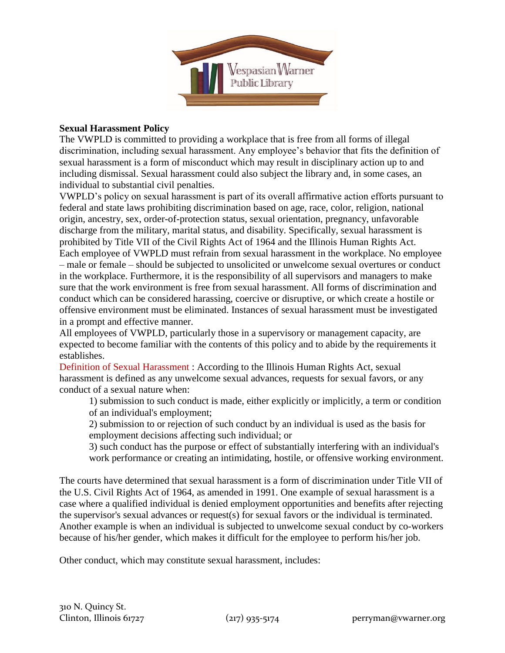

## **Sexual Harassment Policy**

The VWPLD is committed to providing a workplace that is free from all forms of illegal discrimination, including sexual harassment. Any employee's behavior that fits the definition of sexual harassment is a form of misconduct which may result in disciplinary action up to and including dismissal. Sexual harassment could also subject the library and, in some cases, an individual to substantial civil penalties.

VWPLD's policy on sexual harassment is part of its overall affirmative action efforts pursuant to federal and state laws prohibiting discrimination based on age, race, color, religion, national origin, ancestry, sex, order-of-protection status, sexual orientation, pregnancy, unfavorable discharge from the military, marital status, and disability. Specifically, sexual harassment is prohibited by Title VII of the Civil Rights Act of 1964 and the Illinois Human Rights Act. Each employee of VWPLD must refrain from sexual harassment in the workplace. No employee – male or female – should be subjected to unsolicited or unwelcome sexual overtures or conduct in the workplace. Furthermore, it is the responsibility of all supervisors and managers to make sure that the work environment is free from sexual harassment. All forms of discrimination and conduct which can be considered harassing, coercive or disruptive, or which create a hostile or offensive environment must be eliminated. Instances of sexual harassment must be investigated in a prompt and effective manner.

All employees of VWPLD, particularly those in a supervisory or management capacity, are expected to become familiar with the contents of this policy and to abide by the requirements it establishes.

Definition of Sexual Harassment : According to the Illinois Human Rights Act, sexual harassment is defined as any unwelcome sexual advances, requests for sexual favors, or any conduct of a sexual nature when:

1) submission to such conduct is made, either explicitly or implicitly, a term or condition of an individual's employment;

2) submission to or rejection of such conduct by an individual is used as the basis for employment decisions affecting such individual; or

3) such conduct has the purpose or effect of substantially interfering with an individual's work performance or creating an intimidating, hostile, or offensive working environment.

The courts have determined that sexual harassment is a form of discrimination under Title VII of the U.S. Civil Rights Act of 1964, as amended in 1991. One example of sexual harassment is a case where a qualified individual is denied employment opportunities and benefits after rejecting the supervisor's sexual advances or request(s) for sexual favors or the individual is terminated. Another example is when an individual is subjected to unwelcome sexual conduct by co-workers because of his/her gender, which makes it difficult for the employee to perform his/her job.

Other conduct, which may constitute sexual harassment, includes: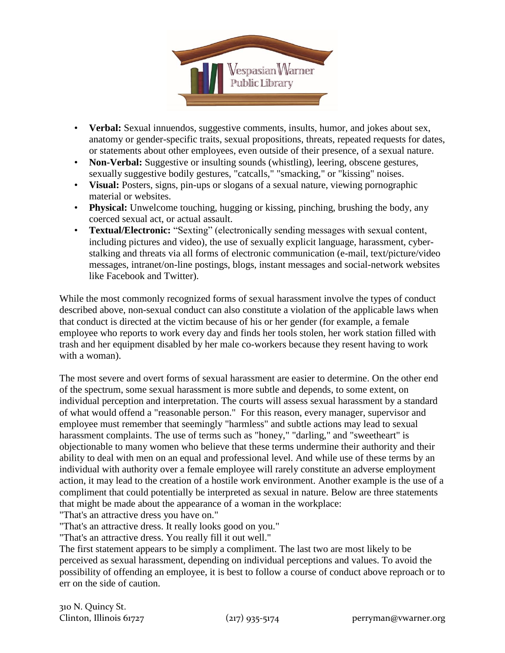

- **Verbal:** Sexual innuendos, suggestive comments, insults, humor, and jokes about sex, anatomy or gender-specific traits, sexual propositions, threats, repeated requests for dates, or statements about other employees, even outside of their presence, of a sexual nature.
- **Non-Verbal:** Suggestive or insulting sounds (whistling), leering, obscene gestures, sexually suggestive bodily gestures, "catcalls," "smacking," or "kissing" noises.
- **Visual:** Posters, signs, pin-ups or slogans of a sexual nature, viewing pornographic material or websites.
- **Physical:** Unwelcome touching, hugging or kissing, pinching, brushing the body, any coerced sexual act, or actual assault.
- **Textual/Electronic:** "Sexting" (electronically sending messages with sexual content, including pictures and video), the use of sexually explicit language, harassment, cyberstalking and threats via all forms of electronic communication (e-mail, text/picture/video messages, intranet/on-line postings, blogs, instant messages and social-network websites like Facebook and Twitter).

While the most commonly recognized forms of sexual harassment involve the types of conduct described above, non-sexual conduct can also constitute a violation of the applicable laws when that conduct is directed at the victim because of his or her gender (for example, a female employee who reports to work every day and finds her tools stolen, her work station filled with trash and her equipment disabled by her male co-workers because they resent having to work with a woman).

The most severe and overt forms of sexual harassment are easier to determine. On the other end of the spectrum, some sexual harassment is more subtle and depends, to some extent, on individual perception and interpretation. The courts will assess sexual harassment by a standard of what would offend a "reasonable person." For this reason, every manager, supervisor and employee must remember that seemingly "harmless" and subtle actions may lead to sexual harassment complaints. The use of terms such as "honey," "darling," and "sweetheart" is objectionable to many women who believe that these terms undermine their authority and their ability to deal with men on an equal and professional level. And while use of these terms by an individual with authority over a female employee will rarely constitute an adverse employment action, it may lead to the creation of a hostile work environment. Another example is the use of a compliment that could potentially be interpreted as sexual in nature. Below are three statements that might be made about the appearance of a woman in the workplace:

"That's an attractive dress you have on."

"That's an attractive dress. It really looks good on you."

"That's an attractive dress. You really fill it out well."

The first statement appears to be simply a compliment. The last two are most likely to be perceived as sexual harassment, depending on individual perceptions and values. To avoid the possibility of offending an employee, it is best to follow a course of conduct above reproach or to err on the side of caution.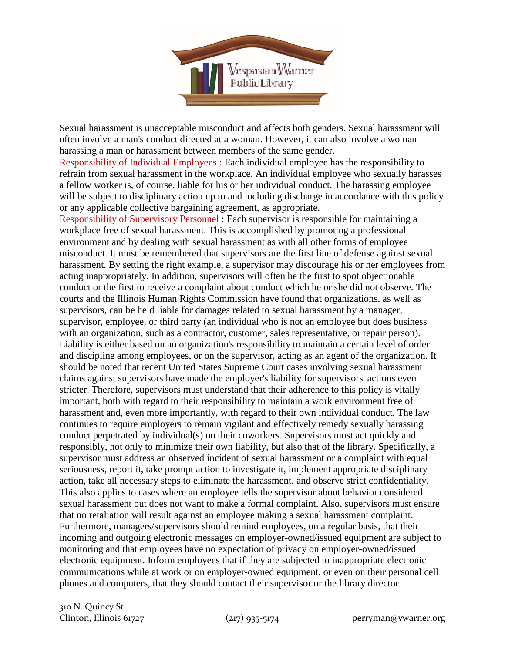

Sexual harassment is unacceptable misconduct and affects both genders. Sexual harassment will often involve a man's conduct directed at a woman. However, it can also involve a woman harassing a man or harassment between members of the same gender.

Responsibility of Individual Employees : Each individual employee has the responsibility to refrain from sexual harassment in the workplace. An individual employee who sexually harasses a fellow worker is, of course, liable for his or her individual conduct. The harassing employee will be subject to disciplinary action up to and including discharge in accordance with this policy or any applicable collective bargaining agreement, as appropriate.

Responsibility of Supervisory Personnel : Each supervisor is responsible for maintaining a workplace free of sexual harassment. This is accomplished by promoting a professional environment and by dealing with sexual harassment as with all other forms of employee misconduct. It must be remembered that supervisors are the first line of defense against sexual harassment. By setting the right example, a supervisor may discourage his or her employees from acting inappropriately. In addition, supervisors will often be the first to spot objectionable conduct or the first to receive a complaint about conduct which he or she did not observe. The courts and the Illinois Human Rights Commission have found that organizations, as well as supervisors, can be held liable for damages related to sexual harassment by a manager, supervisor, employee, or third party (an individual who is not an employee but does business with an organization, such as a contractor, customer, sales representative, or repair person). Liability is either based on an organization's responsibility to maintain a certain level of order and discipline among employees, or on the supervisor, acting as an agent of the organization. It should be noted that recent United States Supreme Court cases involving sexual harassment claims against supervisors have made the employer's liability for supervisors' actions even stricter. Therefore, supervisors must understand that their adherence to this policy is vitally important, both with regard to their responsibility to maintain a work environment free of harassment and, even more importantly, with regard to their own individual conduct. The law continues to require employers to remain vigilant and effectively remedy sexually harassing conduct perpetrated by individual(s) on their coworkers. Supervisors must act quickly and responsibly, not only to minimize their own liability, but also that of the library. Specifically, a supervisor must address an observed incident of sexual harassment or a complaint with equal seriousness, report it, take prompt action to investigate it, implement appropriate disciplinary action, take all necessary steps to eliminate the harassment, and observe strict confidentiality. This also applies to cases where an employee tells the supervisor about behavior considered sexual harassment but does not want to make a formal complaint. Also, supervisors must ensure that no retaliation will result against an employee making a sexual harassment complaint. Furthermore, managers/supervisors should remind employees, on a regular basis, that their incoming and outgoing electronic messages on employer-owned/issued equipment are subject to monitoring and that employees have no expectation of privacy on employer-owned/issued electronic equipment. Inform employees that if they are subjected to inappropriate electronic communications while at work or on employer-owned equipment, or even on their personal cell phones and computers, that they should contact their supervisor or the library director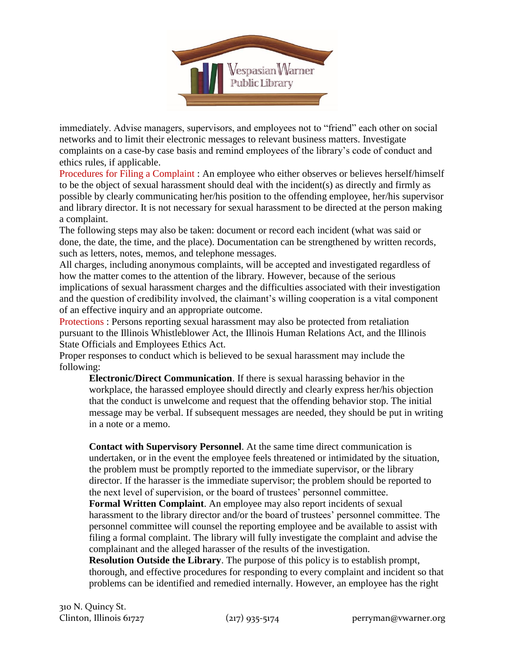

immediately. Advise managers, supervisors, and employees not to "friend" each other on social networks and to limit their electronic messages to relevant business matters. Investigate complaints on a case-by case basis and remind employees of the library's code of conduct and ethics rules, if applicable.

Procedures for Filing a Complaint : An employee who either observes or believes herself/himself to be the object of sexual harassment should deal with the incident(s) as directly and firmly as possible by clearly communicating her/his position to the offending employee, her/his supervisor and library director. It is not necessary for sexual harassment to be directed at the person making a complaint.

The following steps may also be taken: document or record each incident (what was said or done, the date, the time, and the place). Documentation can be strengthened by written records, such as letters, notes, memos, and telephone messages.

All charges, including anonymous complaints, will be accepted and investigated regardless of how the matter comes to the attention of the library. However, because of the serious implications of sexual harassment charges and the difficulties associated with their investigation and the question of credibility involved, the claimant's willing cooperation is a vital component of an effective inquiry and an appropriate outcome.

Protections : Persons reporting sexual harassment may also be protected from retaliation pursuant to the Illinois Whistleblower Act, the Illinois Human Relations Act, and the Illinois State Officials and Employees Ethics Act.

Proper responses to conduct which is believed to be sexual harassment may include the following:

**Electronic/Direct Communication**. If there is sexual harassing behavior in the workplace, the harassed employee should directly and clearly express her/his objection that the conduct is unwelcome and request that the offending behavior stop. The initial message may be verbal. If subsequent messages are needed, they should be put in writing in a note or a memo.

**Contact with Supervisory Personnel**. At the same time direct communication is undertaken, or in the event the employee feels threatened or intimidated by the situation, the problem must be promptly reported to the immediate supervisor, or the library director. If the harasser is the immediate supervisor; the problem should be reported to the next level of supervision, or the board of trustees' personnel committee.

**Formal Written Complaint**. An employee may also report incidents of sexual harassment to the library director and/or the board of trustees' personnel committee. The personnel committee will counsel the reporting employee and be available to assist with filing a formal complaint. The library will fully investigate the complaint and advise the complainant and the alleged harasser of the results of the investigation.

**Resolution Outside the Library**. The purpose of this policy is to establish prompt, thorough, and effective procedures for responding to every complaint and incident so that problems can be identified and remedied internally. However, an employee has the right